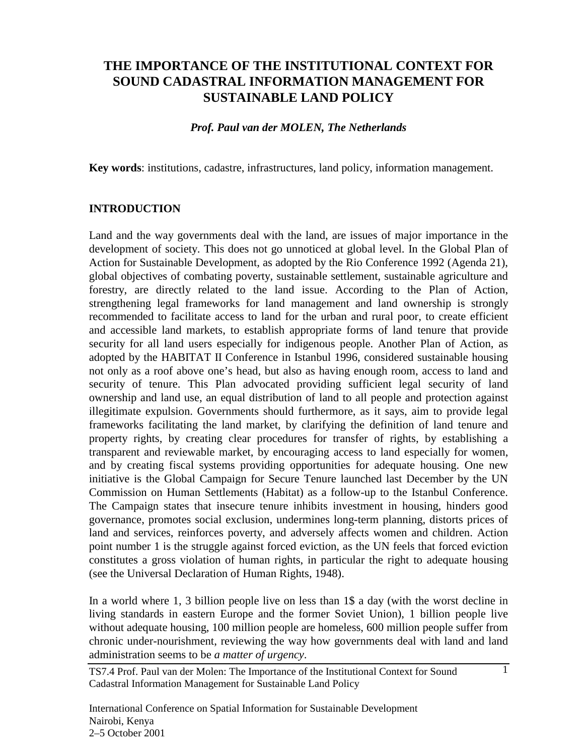# **THE IMPORTANCE OF THE INSTITUTIONAL CONTEXT FOR SOUND CADASTRAL INFORMATION MANAGEMENT FOR SUSTAINABLE LAND POLICY**

#### *Prof. Paul van der MOLEN, The Netherlands*

**Key words**: institutions, cadastre, infrastructures, land policy, information management.

#### **INTRODUCTION**

Land and the way governments deal with the land, are issues of major importance in the development of society. This does not go unnoticed at global level. In the Global Plan of Action for Sustainable Development, as adopted by the Rio Conference 1992 (Agenda 21), global objectives of combating poverty, sustainable settlement, sustainable agriculture and forestry, are directly related to the land issue. According to the Plan of Action, strengthening legal frameworks for land management and land ownership is strongly recommended to facilitate access to land for the urban and rural poor, to create efficient and accessible land markets, to establish appropriate forms of land tenure that provide security for all land users especially for indigenous people. Another Plan of Action, as adopted by the HABITAT II Conference in Istanbul 1996, considered sustainable housing not only as a roof above one's head, but also as having enough room, access to land and security of tenure. This Plan advocated providing sufficient legal security of land ownership and land use, an equal distribution of land to all people and protection against illegitimate expulsion. Governments should furthermore, as it says, aim to provide legal frameworks facilitating the land market, by clarifying the definition of land tenure and property rights, by creating clear procedures for transfer of rights, by establishing a transparent and reviewable market, by encouraging access to land especially for women, and by creating fiscal systems providing opportunities for adequate housing. One new initiative is the Global Campaign for Secure Tenure launched last December by the UN Commission on Human Settlements (Habitat) as a follow-up to the Istanbul Conference. The Campaign states that insecure tenure inhibits investment in housing, hinders good governance, promotes social exclusion, undermines long-term planning, distorts prices of land and services, reinforces poverty, and adversely affects women and children. Action point number 1 is the struggle against forced eviction, as the UN feels that forced eviction constitutes a gross violation of human rights, in particular the right to adequate housing (see the Universal Declaration of Human Rights, 1948).

In a world where 1, 3 billion people live on less than 1\$ a day (with the worst decline in living standards in eastern Europe and the former Soviet Union), 1 billion people live without adequate housing, 100 million people are homeless, 600 million people suffer from chronic under-nourishment, reviewing the way how governments deal with land and land administration seems to be *a matter of urgency*.

1

TS7.4 Prof. Paul van der Molen: The Importance of the Institutional Context for Sound Cadastral Information Management for Sustainable Land Policy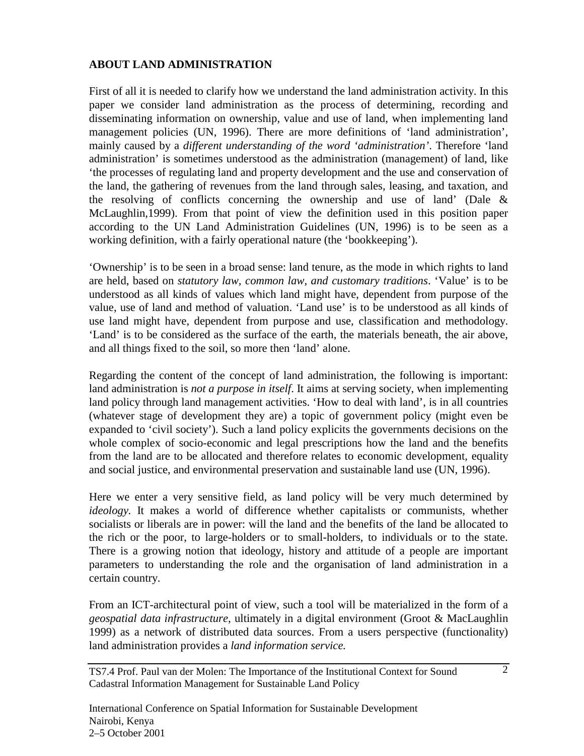# **ABOUT LAND ADMINISTRATION**

First of all it is needed to clarify how we understand the land administration activity. In this paper we consider land administration as the process of determining, recording and disseminating information on ownership, value and use of land, when implementing land management policies (UN, 1996). There are more definitions of 'land administration', mainly caused by a *different understanding of the word 'administration'*. Therefore 'land administration' is sometimes understood as the administration (management) of land, like 'the processes of regulating land and property development and the use and conservation of the land, the gathering of revenues from the land through sales, leasing, and taxation, and the resolving of conflicts concerning the ownership and use of land' (Dale & McLaughlin,1999). From that point of view the definition used in this position paper according to the UN Land Administration Guidelines (UN, 1996) is to be seen as a working definition, with a fairly operational nature (the 'bookkeeping').

'Ownership' is to be seen in a broad sense: land tenure, as the mode in which rights to land are held, based on *statutory law, common law, and customary traditions*. 'Value' is to be understood as all kinds of values which land might have, dependent from purpose of the value, use of land and method of valuation. 'Land use' is to be understood as all kinds of use land might have, dependent from purpose and use, classification and methodology. 'Land' is to be considered as the surface of the earth, the materials beneath, the air above, and all things fixed to the soil, so more then 'land' alone.

Regarding the content of the concept of land administration, the following is important: land administration is *not a purpose in itself*. It aims at serving society, when implementing land policy through land management activities. 'How to deal with land', is in all countries (whatever stage of development they are) a topic of government policy (might even be expanded to 'civil society'). Such a land policy explicits the governments decisions on the whole complex of socio-economic and legal prescriptions how the land and the benefits from the land are to be allocated and therefore relates to economic development, equality and social justice, and environmental preservation and sustainable land use (UN, 1996).

Here we enter a very sensitive field, as land policy will be very much determined by *ideology.* It makes a world of difference whether capitalists or communists, whether socialists or liberals are in power: will the land and the benefits of the land be allocated to the rich or the poor, to large-holders or to small-holders, to individuals or to the state. There is a growing notion that ideology, history and attitude of a people are important parameters to understanding the role and the organisation of land administration in a certain country.

From an ICT-architectural point of view, such a tool will be materialized in the form of a *geospatial data infrastructure*, ultimately in a digital environment (Groot & MacLaughlin 1999) as a network of distributed data sources. From a users perspective (functionality) land administration provides a *land information service.*

TS7.4 Prof. Paul van der Molen: The Importance of the Institutional Context for Sound Cadastral Information Management for Sustainable Land Policy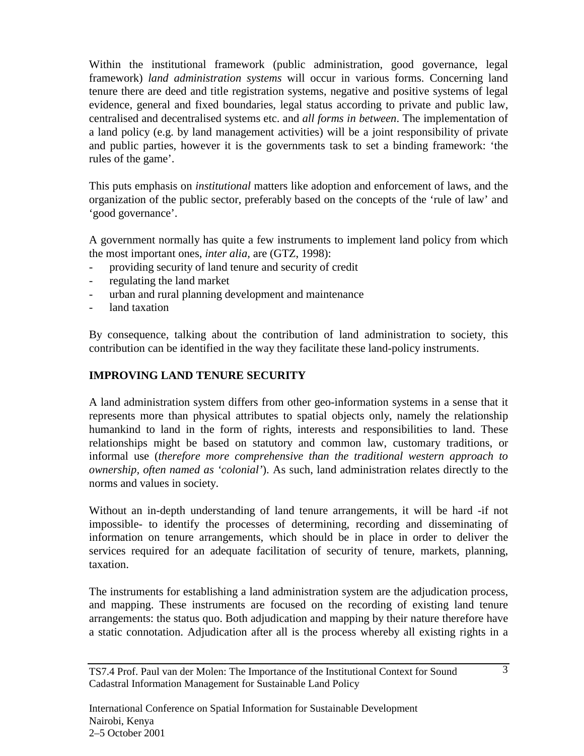Within the institutional framework (public administration, good governance, legal framework) *land administration systems* will occur in various forms. Concerning land tenure there are deed and title registration systems, negative and positive systems of legal evidence, general and fixed boundaries, legal status according to private and public law, centralised and decentralised systems etc. and *all forms in between*. The implementation of a land policy (e.g. by land management activities) will be a joint responsibility of private and public parties, however it is the governments task to set a binding framework: 'the rules of the game'.

This puts emphasis on *institutional* matters like adoption and enforcement of laws, and the organization of the public sector, preferably based on the concepts of the 'rule of law' and 'good governance'.

A government normally has quite a few instruments to implement land policy from which the most important ones, *inter alia,* are (GTZ, 1998):

- providing security of land tenure and security of credit
- regulating the land market
- urban and rural planning development and maintenance
- land taxation

By consequence, talking about the contribution of land administration to society, this contribution can be identified in the way they facilitate these land-policy instruments.

### **IMPROVING LAND TENURE SECURITY**

A land administration system differs from other geo-information systems in a sense that it represents more than physical attributes to spatial objects only, namely the relationship humankind to land in the form of rights, interests and responsibilities to land. These relationships might be based on statutory and common law, customary traditions, or informal use (*therefore more comprehensive than the traditional western approach to ownership, often named as 'colonial'*). As such, land administration relates directly to the norms and values in society.

Without an in-depth understanding of land tenure arrangements, it will be hard -if not impossible- to identify the processes of determining, recording and disseminating of information on tenure arrangements, which should be in place in order to deliver the services required for an adequate facilitation of security of tenure, markets, planning, taxation.

The instruments for establishing a land administration system are the adjudication process, and mapping. These instruments are focused on the recording of existing land tenure arrangements: the status quo. Both adjudication and mapping by their nature therefore have a static connotation. Adjudication after all is the process whereby all existing rights in a

TS7.4 Prof. Paul van der Molen: The Importance of the Institutional Context for Sound Cadastral Information Management for Sustainable Land Policy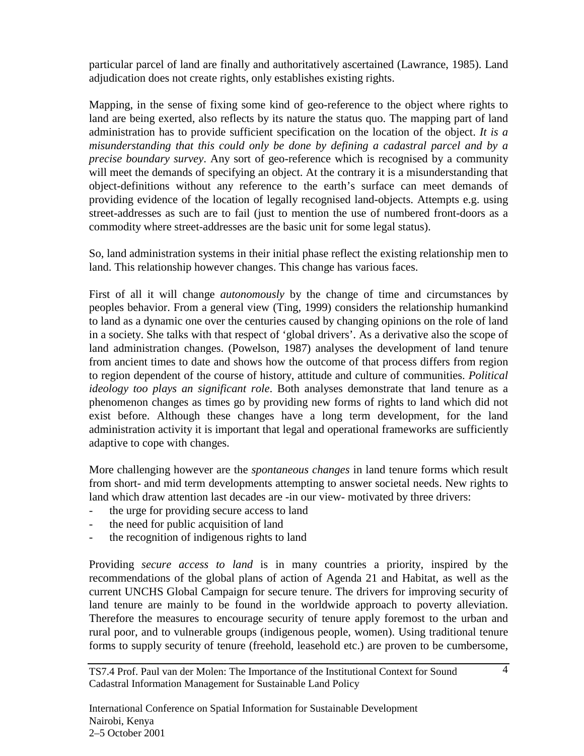particular parcel of land are finally and authoritatively ascertained (Lawrance, 1985). Land adjudication does not create rights, only establishes existing rights.

Mapping, in the sense of fixing some kind of geo-reference to the object where rights to land are being exerted, also reflects by its nature the status quo. The mapping part of land administration has to provide sufficient specification on the location of the object. *It is a misunderstanding that this could only be done by defining a cadastral parcel and by a precise boundary survey*. Any sort of geo-reference which is recognised by a community will meet the demands of specifying an object. At the contrary it is a misunderstanding that object-definitions without any reference to the earth's surface can meet demands of providing evidence of the location of legally recognised land-objects. Attempts e.g. using street-addresses as such are to fail (just to mention the use of numbered front-doors as a commodity where street-addresses are the basic unit for some legal status).

So, land administration systems in their initial phase reflect the existing relationship men to land. This relationship however changes. This change has various faces.

First of all it will change *autonomously* by the change of time and circumstances by peoples behavior. From a general view (Ting, 1999) considers the relationship humankind to land as a dynamic one over the centuries caused by changing opinions on the role of land in a society. She talks with that respect of 'global drivers'. As a derivative also the scope of land administration changes. (Powelson, 1987) analyses the development of land tenure from ancient times to date and shows how the outcome of that process differs from region to region dependent of the course of history, attitude and culture of communities. *Political ideology too plays an significant role*. Both analyses demonstrate that land tenure as a phenomenon changes as times go by providing new forms of rights to land which did not exist before. Although these changes have a long term development, for the land administration activity it is important that legal and operational frameworks are sufficiently adaptive to cope with changes.

More challenging however are the *spontaneous changes* in land tenure forms which result from short- and mid term developments attempting to answer societal needs. New rights to land which draw attention last decades are -in our view- motivated by three drivers:

- the urge for providing secure access to land
- the need for public acquisition of land
- the recognition of indigenous rights to land

Providing *secure access to land* is in many countries a priority, inspired by the recommendations of the global plans of action of Agenda 21 and Habitat, as well as the current UNCHS Global Campaign for secure tenure. The drivers for improving security of land tenure are mainly to be found in the worldwide approach to poverty alleviation. Therefore the measures to encourage security of tenure apply foremost to the urban and rural poor, and to vulnerable groups (indigenous people, women). Using traditional tenure forms to supply security of tenure (freehold, leasehold etc.) are proven to be cumbersome,

TS7.4 Prof. Paul van der Molen: The Importance of the Institutional Context for Sound Cadastral Information Management for Sustainable Land Policy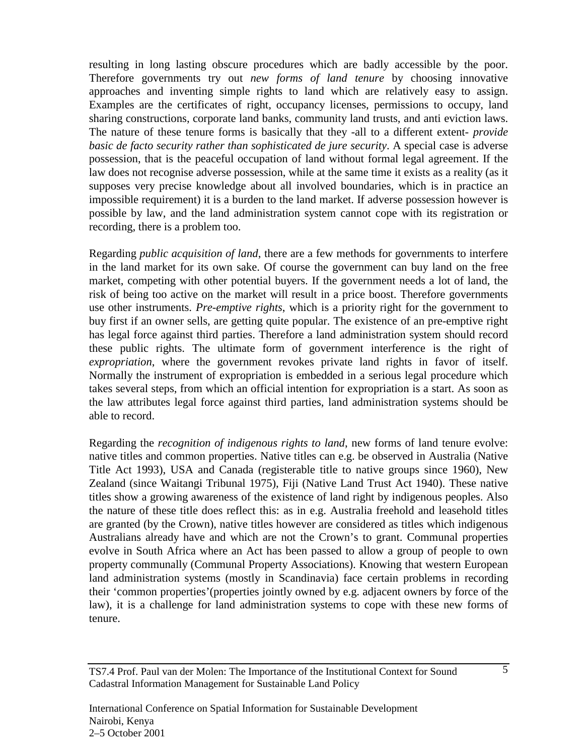resulting in long lasting obscure procedures which are badly accessible by the poor. Therefore governments try out *new forms of land tenure* by choosing innovative approaches and inventing simple rights to land which are relatively easy to assign. Examples are the certificates of right, occupancy licenses, permissions to occupy, land sharing constructions, corporate land banks, community land trusts, and anti eviction laws. The nature of these tenure forms is basically that they -all to a different extent*- provide basic de facto security rather than sophisticated de jure security*. A special case is adverse possession, that is the peaceful occupation of land without formal legal agreement. If the law does not recognise adverse possession, while at the same time it exists as a reality (as it supposes very precise knowledge about all involved boundaries, which is in practice an impossible requirement) it is a burden to the land market. If adverse possession however is possible by law, and the land administration system cannot cope with its registration or recording, there is a problem too.

Regarding *public acquisition of land*, there are a few methods for governments to interfere in the land market for its own sake. Of course the government can buy land on the free market, competing with other potential buyers. If the government needs a lot of land, the risk of being too active on the market will result in a price boost. Therefore governments use other instruments. *Pre-emptive rights*, which is a priority right for the government to buy first if an owner sells, are getting quite popular. The existence of an pre-emptive right has legal force against third parties. Therefore a land administration system should record these public rights. The ultimate form of government interference is the right of *expropriation*, where the government revokes private land rights in favor of itself. Normally the instrument of expropriation is embedded in a serious legal procedure which takes several steps, from which an official intention for expropriation is a start. As soon as the law attributes legal force against third parties, land administration systems should be able to record.

Regarding the *recognition of indigenous rights to land*, new forms of land tenure evolve: native titles and common properties. Native titles can e.g. be observed in Australia (Native Title Act 1993), USA and Canada (registerable title to native groups since 1960), New Zealand (since Waitangi Tribunal 1975), Fiji (Native Land Trust Act 1940). These native titles show a growing awareness of the existence of land right by indigenous peoples. Also the nature of these title does reflect this: as in e.g. Australia freehold and leasehold titles are granted (by the Crown), native titles however are considered as titles which indigenous Australians already have and which are not the Crown's to grant. Communal properties evolve in South Africa where an Act has been passed to allow a group of people to own property communally (Communal Property Associations). Knowing that western European land administration systems (mostly in Scandinavia) face certain problems in recording their 'common properties'(properties jointly owned by e.g. adjacent owners by force of the law), it is a challenge for land administration systems to cope with these new forms of tenure.

TS7.4 Prof. Paul van der Molen: The Importance of the Institutional Context for Sound Cadastral Information Management for Sustainable Land Policy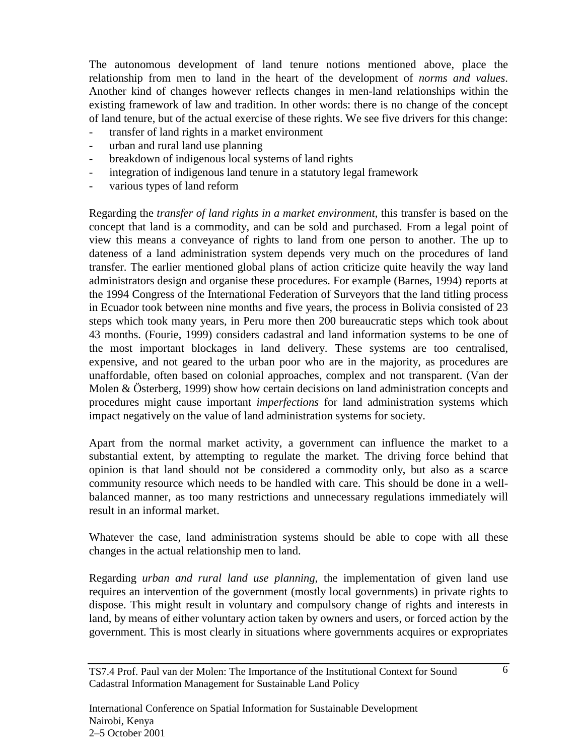The autonomous development of land tenure notions mentioned above, place the relationship from men to land in the heart of the development of *norms and values*. Another kind of changes however reflects changes in men-land relationships within the existing framework of law and tradition. In other words: there is no change of the concept of land tenure, but of the actual exercise of these rights. We see five drivers for this change:

- transfer of land rights in a market environment
- urban and rural land use planning
- breakdown of indigenous local systems of land rights
- integration of indigenous land tenure in a statutory legal framework
- various types of land reform

Regarding the *transfer of land rights in a market environment*, this transfer is based on the concept that land is a commodity, and can be sold and purchased. From a legal point of view this means a conveyance of rights to land from one person to another. The up to dateness of a land administration system depends very much on the procedures of land transfer. The earlier mentioned global plans of action criticize quite heavily the way land administrators design and organise these procedures. For example (Barnes, 1994) reports at the 1994 Congress of the International Federation of Surveyors that the land titling process in Ecuador took between nine months and five years, the process in Bolivia consisted of 23 steps which took many years, in Peru more then 200 bureaucratic steps which took about 43 months. (Fourie, 1999) considers cadastral and land information systems to be one of the most important blockages in land delivery. These systems are too centralised, expensive, and not geared to the urban poor who are in the majority, as procedures are unaffordable, often based on colonial approaches, complex and not transparent. (Van der Molen & Österberg, 1999) show how certain decisions on land administration concepts and procedures might cause important *imperfections* for land administration systems which impact negatively on the value of land administration systems for society.

Apart from the normal market activity, a government can influence the market to a substantial extent, by attempting to regulate the market. The driving force behind that opinion is that land should not be considered a commodity only, but also as a scarce community resource which needs to be handled with care. This should be done in a wellbalanced manner, as too many restrictions and unnecessary regulations immediately will result in an informal market.

Whatever the case, land administration systems should be able to cope with all these changes in the actual relationship men to land.

Regarding *urban and rural land use planning*, the implementation of given land use requires an intervention of the government (mostly local governments) in private rights to dispose. This might result in voluntary and compulsory change of rights and interests in land, by means of either voluntary action taken by owners and users, or forced action by the government. This is most clearly in situations where governments acquires or expropriates

TS7.4 Prof. Paul van der Molen: The Importance of the Institutional Context for Sound Cadastral Information Management for Sustainable Land Policy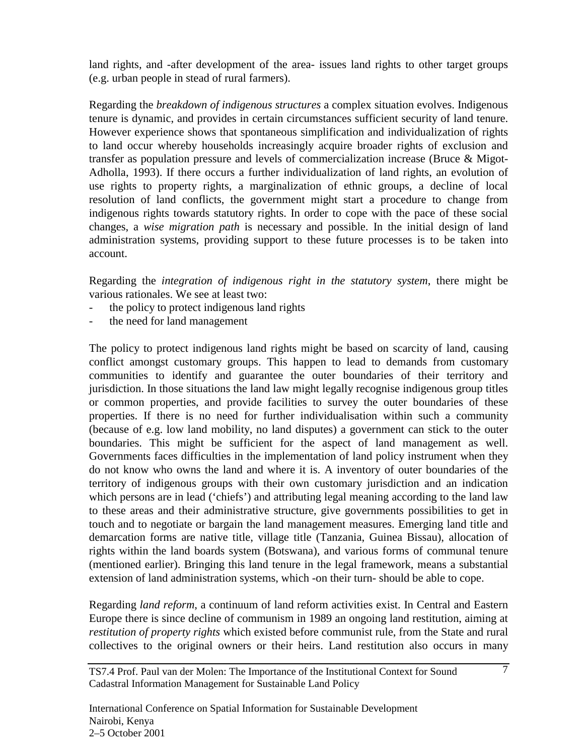land rights, and -after development of the area- issues land rights to other target groups (e.g. urban people in stead of rural farmers).

Regarding the *breakdown of indigenous structures* a complex situation evolves. Indigenous tenure is dynamic, and provides in certain circumstances sufficient security of land tenure. However experience shows that spontaneous simplification and individualization of rights to land occur whereby households increasingly acquire broader rights of exclusion and transfer as population pressure and levels of commercialization increase (Bruce & Migot-Adholla, 1993). If there occurs a further individualization of land rights, an evolution of use rights to property rights, a marginalization of ethnic groups, a decline of local resolution of land conflicts, the government might start a procedure to change from indigenous rights towards statutory rights. In order to cope with the pace of these social changes, a *wise migration path* is necessary and possible. In the initial design of land administration systems, providing support to these future processes is to be taken into account.

Regarding the *integration of indigenous right in the statutory system*, there might be various rationales. We see at least two:

- the policy to protect indigenous land rights
- the need for land management

The policy to protect indigenous land rights might be based on scarcity of land, causing conflict amongst customary groups. This happen to lead to demands from customary communities to identify and guarantee the outer boundaries of their territory and jurisdiction. In those situations the land law might legally recognise indigenous group titles or common properties, and provide facilities to survey the outer boundaries of these properties. If there is no need for further individualisation within such a community (because of e.g. low land mobility, no land disputes) a government can stick to the outer boundaries. This might be sufficient for the aspect of land management as well. Governments faces difficulties in the implementation of land policy instrument when they do not know who owns the land and where it is. A inventory of outer boundaries of the territory of indigenous groups with their own customary jurisdiction and an indication which persons are in lead ('chiefs') and attributing legal meaning according to the land law to these areas and their administrative structure, give governments possibilities to get in touch and to negotiate or bargain the land management measures. Emerging land title and demarcation forms are native title, village title (Tanzania, Guinea Bissau), allocation of rights within the land boards system (Botswana), and various forms of communal tenure (mentioned earlier). Bringing this land tenure in the legal framework, means a substantial extension of land administration systems, which -on their turn- should be able to cope.

Regarding *land reform*, a continuum of land reform activities exist. In Central and Eastern Europe there is since decline of communism in 1989 an ongoing land restitution, aiming at *restitution of property rights* which existed before communist rule, from the State and rural collectives to the original owners or their heirs. Land restitution also occurs in many

TS7.4 Prof. Paul van der Molen: The Importance of the Institutional Context for Sound Cadastral Information Management for Sustainable Land Policy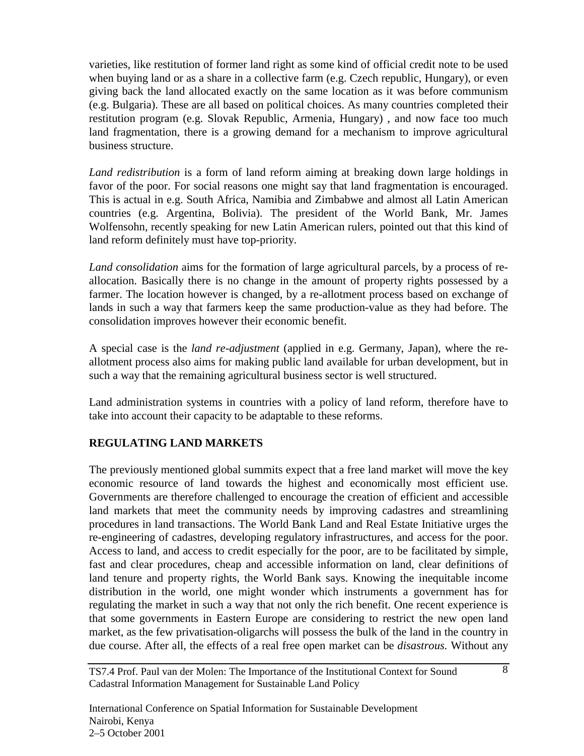varieties, like restitution of former land right as some kind of official credit note to be used when buying land or as a share in a collective farm (e.g. Czech republic, Hungary), or even giving back the land allocated exactly on the same location as it was before communism (e.g. Bulgaria). These are all based on political choices. As many countries completed their restitution program (e.g. Slovak Republic, Armenia, Hungary) , and now face too much land fragmentation, there is a growing demand for a mechanism to improve agricultural business structure.

*Land redistribution* is a form of land reform aiming at breaking down large holdings in favor of the poor. For social reasons one might say that land fragmentation is encouraged. This is actual in e.g. South Africa, Namibia and Zimbabwe and almost all Latin American countries (e.g. Argentina, Bolivia). The president of the World Bank, Mr. James Wolfensohn, recently speaking for new Latin American rulers, pointed out that this kind of land reform definitely must have top-priority.

*Land consolidation* aims for the formation of large agricultural parcels, by a process of reallocation. Basically there is no change in the amount of property rights possessed by a farmer. The location however is changed, by a re-allotment process based on exchange of lands in such a way that farmers keep the same production-value as they had before. The consolidation improves however their economic benefit.

A special case is the *land re-adjustment* (applied in e.g. Germany, Japan), where the reallotment process also aims for making public land available for urban development, but in such a way that the remaining agricultural business sector is well structured.

Land administration systems in countries with a policy of land reform, therefore have to take into account their capacity to be adaptable to these reforms.

# **REGULATING LAND MARKETS**

The previously mentioned global summits expect that a free land market will move the key economic resource of land towards the highest and economically most efficient use. Governments are therefore challenged to encourage the creation of efficient and accessible land markets that meet the community needs by improving cadastres and streamlining procedures in land transactions. The World Bank Land and Real Estate Initiative urges the re-engineering of cadastres, developing regulatory infrastructures, and access for the poor. Access to land, and access to credit especially for the poor, are to be facilitated by simple, fast and clear procedures, cheap and accessible information on land, clear definitions of land tenure and property rights, the World Bank says. Knowing the inequitable income distribution in the world, one might wonder which instruments a government has for regulating the market in such a way that not only the rich benefit. One recent experience is that some governments in Eastern Europe are considering to restrict the new open land market, as the few privatisation-oligarchs will possess the bulk of the land in the country in due course. After all, the effects of a real free open market can be *disastrous.* Without any

TS7.4 Prof. Paul van der Molen: The Importance of the Institutional Context for Sound Cadastral Information Management for Sustainable Land Policy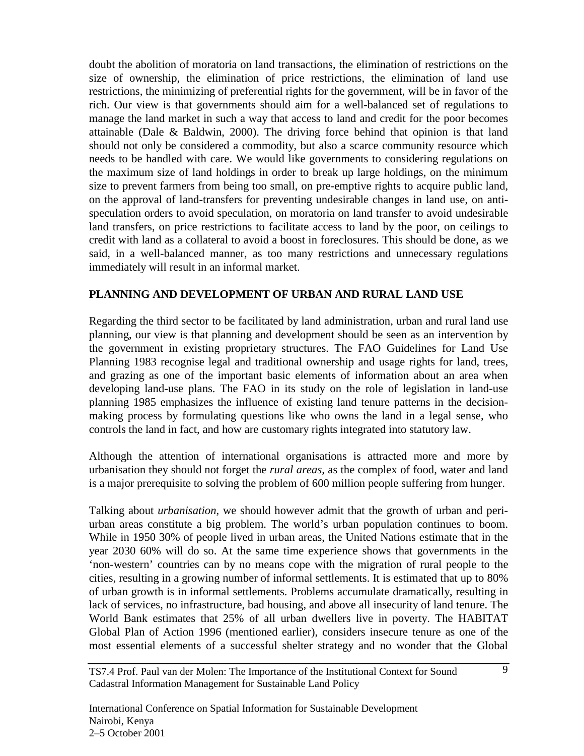doubt the abolition of moratoria on land transactions, the elimination of restrictions on the size of ownership, the elimination of price restrictions, the elimination of land use restrictions, the minimizing of preferential rights for the government, will be in favor of the rich. Our view is that governments should aim for a well-balanced set of regulations to manage the land market in such a way that access to land and credit for the poor becomes attainable (Dale & Baldwin, 2000). The driving force behind that opinion is that land should not only be considered a commodity, but also a scarce community resource which needs to be handled with care. We would like governments to considering regulations on the maximum size of land holdings in order to break up large holdings, on the minimum size to prevent farmers from being too small, on pre-emptive rights to acquire public land, on the approval of land-transfers for preventing undesirable changes in land use, on antispeculation orders to avoid speculation, on moratoria on land transfer to avoid undesirable land transfers, on price restrictions to facilitate access to land by the poor, on ceilings to credit with land as a collateral to avoid a boost in foreclosures. This should be done, as we said, in a well-balanced manner, as too many restrictions and unnecessary regulations immediately will result in an informal market.

### **PLANNING AND DEVELOPMENT OF URBAN AND RURAL LAND USE**

Regarding the third sector to be facilitated by land administration, urban and rural land use planning, our view is that planning and development should be seen as an intervention by the government in existing proprietary structures. The FAO Guidelines for Land Use Planning 1983 recognise legal and traditional ownership and usage rights for land, trees, and grazing as one of the important basic elements of information about an area when developing land-use plans. The FAO in its study on the role of legislation in land-use planning 1985 emphasizes the influence of existing land tenure patterns in the decisionmaking process by formulating questions like who owns the land in a legal sense, who controls the land in fact, and how are customary rights integrated into statutory law.

Although the attention of international organisations is attracted more and more by urbanisation they should not forget the *rural areas,* as the complex of food, water and land is a major prerequisite to solving the problem of 600 million people suffering from hunger.

Talking about *urbanisation*, we should however admit that the growth of urban and periurban areas constitute a big problem. The world's urban population continues to boom. While in 1950 30% of people lived in urban areas, the United Nations estimate that in the year 2030 60% will do so. At the same time experience shows that governments in the 'non-western' countries can by no means cope with the migration of rural people to the cities, resulting in a growing number of informal settlements. It is estimated that up to 80% of urban growth is in informal settlements. Problems accumulate dramatically, resulting in lack of services, no infrastructure, bad housing, and above all insecurity of land tenure. The World Bank estimates that 25% of all urban dwellers live in poverty. The HABITAT Global Plan of Action 1996 (mentioned earlier), considers insecure tenure as one of the most essential elements of a successful shelter strategy and no wonder that the Global

TS7.4 Prof. Paul van der Molen: The Importance of the Institutional Context for Sound Cadastral Information Management for Sustainable Land Policy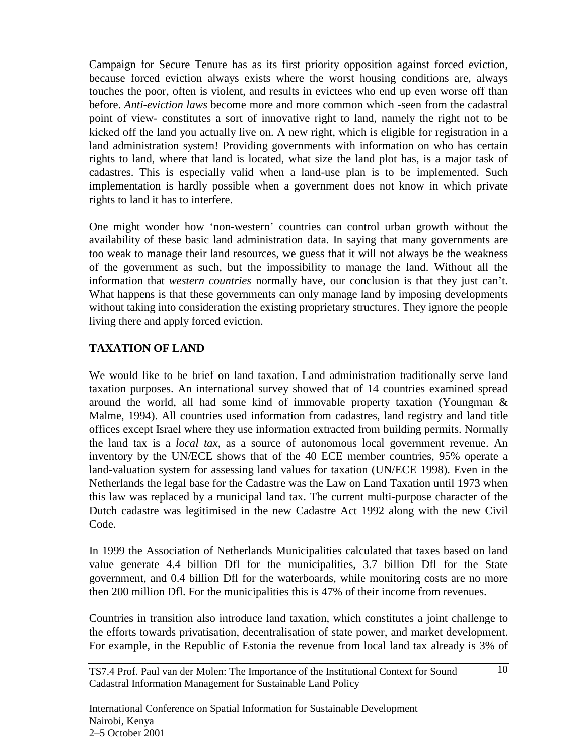Campaign for Secure Tenure has as its first priority opposition against forced eviction, because forced eviction always exists where the worst housing conditions are, always touches the poor, often is violent, and results in evictees who end up even worse off than before. *Anti-eviction laws* become more and more common which -seen from the cadastral point of view- constitutes a sort of innovative right to land, namely the right not to be kicked off the land you actually live on. A new right, which is eligible for registration in a land administration system! Providing governments with information on who has certain rights to land, where that land is located, what size the land plot has, is a major task of cadastres. This is especially valid when a land-use plan is to be implemented. Such implementation is hardly possible when a government does not know in which private rights to land it has to interfere.

One might wonder how 'non-western' countries can control urban growth without the availability of these basic land administration data. In saying that many governments are too weak to manage their land resources, we guess that it will not always be the weakness of the government as such, but the impossibility to manage the land. Without all the information that *western countries* normally have, our conclusion is that they just can't. What happens is that these governments can only manage land by imposing developments without taking into consideration the existing proprietary structures. They ignore the people living there and apply forced eviction.

### **TAXATION OF LAND**

We would like to be brief on land taxation. Land administration traditionally serve land taxation purposes. An international survey showed that of 14 countries examined spread around the world, all had some kind of immovable property taxation (Youngman & Malme, 1994). All countries used information from cadastres, land registry and land title offices except Israel where they use information extracted from building permits. Normally the land tax is a *local tax*, as a source of autonomous local government revenue. An inventory by the UN/ECE shows that of the 40 ECE member countries, 95% operate a land-valuation system for assessing land values for taxation (UN/ECE 1998). Even in the Netherlands the legal base for the Cadastre was the Law on Land Taxation until 1973 when this law was replaced by a municipal land tax. The current multi-purpose character of the Dutch cadastre was legitimised in the new Cadastre Act 1992 along with the new Civil Code.

In 1999 the Association of Netherlands Municipalities calculated that taxes based on land value generate 4.4 billion Dfl for the municipalities, 3.7 billion Dfl for the State government, and 0.4 billion Dfl for the waterboards, while monitoring costs are no more then 200 million Dfl. For the municipalities this is 47% of their income from revenues.

Countries in transition also introduce land taxation, which constitutes a joint challenge to the efforts towards privatisation, decentralisation of state power, and market development. For example, in the Republic of Estonia the revenue from local land tax already is 3% of

TS7.4 Prof. Paul van der Molen: The Importance of the Institutional Context for Sound Cadastral Information Management for Sustainable Land Policy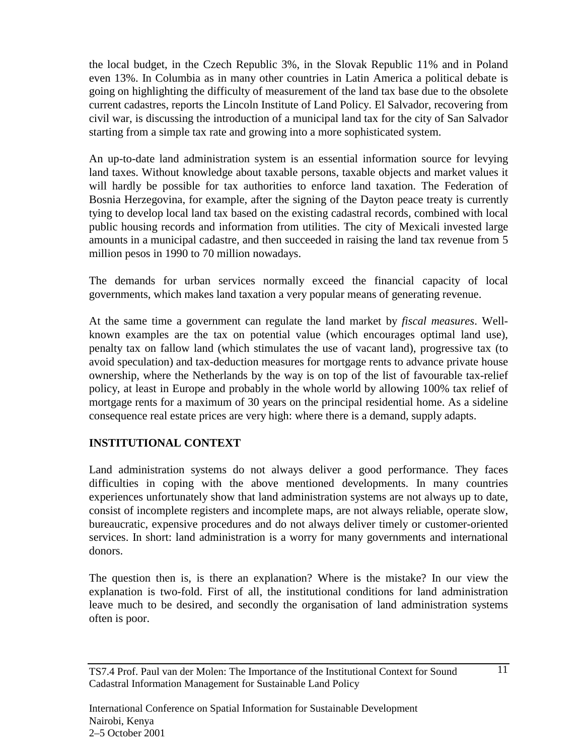the local budget, in the Czech Republic 3%, in the Slovak Republic 11% and in Poland even 13%. In Columbia as in many other countries in Latin America a political debate is going on highlighting the difficulty of measurement of the land tax base due to the obsolete current cadastres, reports the Lincoln Institute of Land Policy. El Salvador, recovering from civil war, is discussing the introduction of a municipal land tax for the city of San Salvador starting from a simple tax rate and growing into a more sophisticated system.

An up-to-date land administration system is an essential information source for levying land taxes. Without knowledge about taxable persons, taxable objects and market values it will hardly be possible for tax authorities to enforce land taxation. The Federation of Bosnia Herzegovina, for example, after the signing of the Dayton peace treaty is currently tying to develop local land tax based on the existing cadastral records, combined with local public housing records and information from utilities. The city of Mexicali invested large amounts in a municipal cadastre, and then succeeded in raising the land tax revenue from 5 million pesos in 1990 to 70 million nowadays.

The demands for urban services normally exceed the financial capacity of local governments, which makes land taxation a very popular means of generating revenue.

At the same time a government can regulate the land market by *fiscal measures*. Wellknown examples are the tax on potential value (which encourages optimal land use), penalty tax on fallow land (which stimulates the use of vacant land), progressive tax (to avoid speculation) and tax-deduction measures for mortgage rents to advance private house ownership, where the Netherlands by the way is on top of the list of favourable tax-relief policy, at least in Europe and probably in the whole world by allowing 100% tax relief of mortgage rents for a maximum of 30 years on the principal residential home. As a sideline consequence real estate prices are very high: where there is a demand, supply adapts.

# **INSTITUTIONAL CONTEXT**

Land administration systems do not always deliver a good performance. They faces difficulties in coping with the above mentioned developments. In many countries experiences unfortunately show that land administration systems are not always up to date, consist of incomplete registers and incomplete maps, are not always reliable, operate slow, bureaucratic, expensive procedures and do not always deliver timely or customer-oriented services. In short: land administration is a worry for many governments and international donors.

The question then is, is there an explanation? Where is the mistake? In our view the explanation is two-fold. First of all, the institutional conditions for land administration leave much to be desired, and secondly the organisation of land administration systems often is poor.

TS7.4 Prof. Paul van der Molen: The Importance of the Institutional Context for Sound Cadastral Information Management for Sustainable Land Policy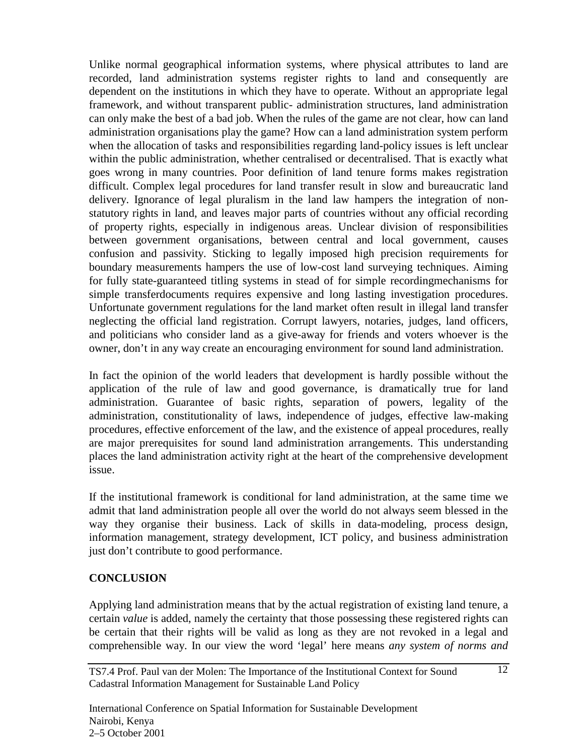Unlike normal geographical information systems, where physical attributes to land are recorded, land administration systems register rights to land and consequently are dependent on the institutions in which they have to operate. Without an appropriate legal framework, and without transparent public- administration structures, land administration can only make the best of a bad job. When the rules of the game are not clear, how can land administration organisations play the game? How can a land administration system perform when the allocation of tasks and responsibilities regarding land-policy issues is left unclear within the public administration, whether centralised or decentralised. That is exactly what goes wrong in many countries. Poor definition of land tenure forms makes registration difficult. Complex legal procedures for land transfer result in slow and bureaucratic land delivery. Ignorance of legal pluralism in the land law hampers the integration of nonstatutory rights in land, and leaves major parts of countries without any official recording of property rights, especially in indigenous areas. Unclear division of responsibilities between government organisations, between central and local government, causes confusion and passivity. Sticking to legally imposed high precision requirements for boundary measurements hampers the use of low-cost land surveying techniques. Aiming for fully state-guaranteed titling systems in stead of for simple recordingmechanisms for simple transferdocuments requires expensive and long lasting investigation procedures. Unfortunate government regulations for the land market often result in illegal land transfer neglecting the official land registration. Corrupt lawyers, notaries, judges, land officers, and politicians who consider land as a give-away for friends and voters whoever is the owner, don't in any way create an encouraging environment for sound land administration.

In fact the opinion of the world leaders that development is hardly possible without the application of the rule of law and good governance, is dramatically true for land administration. Guarantee of basic rights, separation of powers, legality of the administration, constitutionality of laws, independence of judges, effective law-making procedures, effective enforcement of the law, and the existence of appeal procedures, really are major prerequisites for sound land administration arrangements. This understanding places the land administration activity right at the heart of the comprehensive development issue.

If the institutional framework is conditional for land administration, at the same time we admit that land administration people all over the world do not always seem blessed in the way they organise their business. Lack of skills in data-modeling, process design, information management, strategy development, ICT policy, and business administration just don't contribute to good performance.

#### **CONCLUSION**

Applying land administration means that by the actual registration of existing land tenure, a certain *value* is added, namely the certainty that those possessing these registered rights can be certain that their rights will be valid as long as they are not revoked in a legal and comprehensible way. In our view the word 'legal' here means *any system of norms and*

TS7.4 Prof. Paul van der Molen: The Importance of the Institutional Context for Sound Cadastral Information Management for Sustainable Land Policy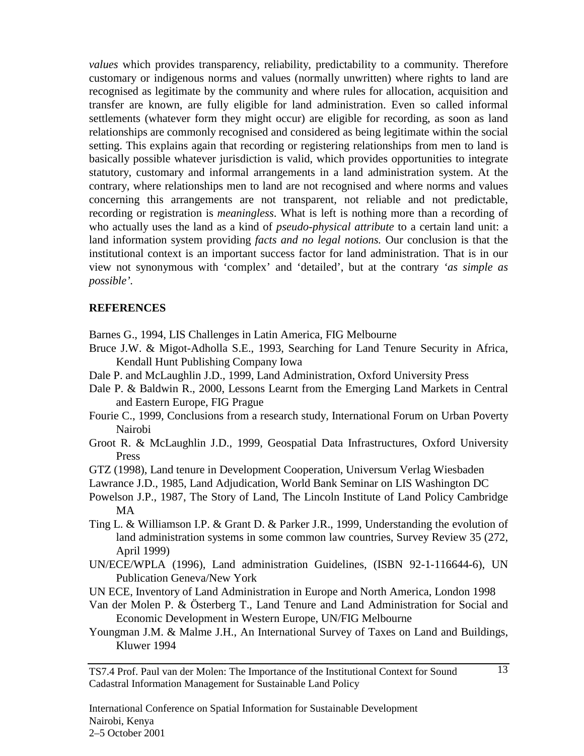*values* which provides transparency, reliability, predictability to a community. Therefore customary or indigenous norms and values (normally unwritten) where rights to land are recognised as legitimate by the community and where rules for allocation, acquisition and transfer are known, are fully eligible for land administration. Even so called informal settlements (whatever form they might occur) are eligible for recording, as soon as land relationships are commonly recognised and considered as being legitimate within the social setting. This explains again that recording or registering relationships from men to land is basically possible whatever jurisdiction is valid, which provides opportunities to integrate statutory, customary and informal arrangements in a land administration system. At the contrary, where relationships men to land are not recognised and where norms and values concerning this arrangements are not transparent, not reliable and not predictable, recording or registration is *meaningless*. What is left is nothing more than a recording of who actually uses the land as a kind of *pseudo-physical attribute* to a certain land unit: a land information system providing *facts and no legal notions.* Our conclusion is that the institutional context is an important success factor for land administration. That is in our view not synonymous with 'complex' and 'detailed', but at the contrary *'as simple as possible'.*

#### **REFERENCES**

Barnes G., 1994, LIS Challenges in Latin America, FIG Melbourne

- Bruce J.W. & Migot-Adholla S.E., 1993, Searching for Land Tenure Security in Africa, Kendall Hunt Publishing Company Iowa
- Dale P. and McLaughlin J.D., 1999, Land Administration, Oxford University Press
- Dale P. & Baldwin R., 2000, Lessons Learnt from the Emerging Land Markets in Central and Eastern Europe, FIG Prague
- Fourie C., 1999, Conclusions from a research study, International Forum on Urban Poverty Nairobi
- Groot R. & McLaughlin J.D., 1999, Geospatial Data Infrastructures, Oxford University Press
- GTZ (1998), Land tenure in Development Cooperation, Universum Verlag Wiesbaden
- Lawrance J.D., 1985, Land Adjudication, World Bank Seminar on LIS Washington DC
- Powelson J.P., 1987, The Story of Land, The Lincoln Institute of Land Policy Cambridge MA
- Ting L. & Williamson I.P. & Grant D. & Parker J.R., 1999, Understanding the evolution of land administration systems in some common law countries, Survey Review 35 (272, April 1999)
- UN/ECE/WPLA (1996), Land administration Guidelines, (ISBN 92-1-116644-6), UN Publication Geneva/New York
- UN ECE, Inventory of Land Administration in Europe and North America, London 1998
- Van der Molen P. & Österberg T., Land Tenure and Land Administration for Social and Economic Development in Western Europe, UN/FIG Melbourne
- Youngman J.M. & Malme J.H., An International Survey of Taxes on Land and Buildings, Kluwer 1994

TS7.4 Prof. Paul van der Molen: The Importance of the Institutional Context for Sound Cadastral Information Management for Sustainable Land Policy